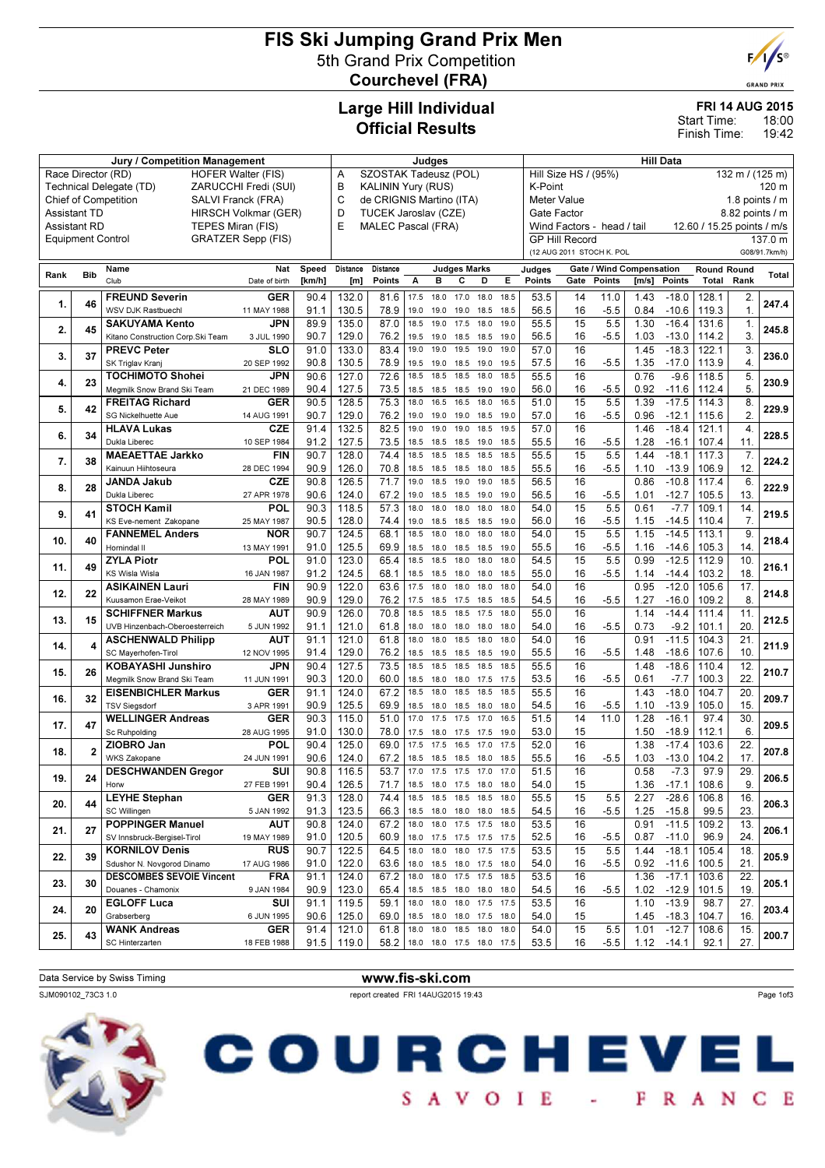## FIS Ski Jumping Grand Prix Men 5th Grand Prix Competition Courchevel (FRA)



**GRAND PRIX** 

## Large Hill Individual Official Results

|  | <b>FRI 14 AUG 2015</b> |  |
|--|------------------------|--|
|  |                        |  |

18:00 19:42 Start Time: Finish Time:

| Jury / Competition Management                                                                    |                         |                                                          |                           |                            | Judges                               |                                                                                |              |              |                                            |                                         | <b>Hill Data</b> |                                                     |                                    |              |                    |                             |                  |               |
|--------------------------------------------------------------------------------------------------|-------------------------|----------------------------------------------------------|---------------------------|----------------------------|--------------------------------------|--------------------------------------------------------------------------------|--------------|--------------|--------------------------------------------|-----------------------------------------|------------------|-----------------------------------------------------|------------------------------------|--------------|--------------------|-----------------------------|------------------|---------------|
| Race Director (RD)<br><b>HOFER Walter (FIS)</b>                                                  |                         |                                                          |                           | SZOSTAK Tadeusz (POL)<br>Α |                                      |                                                                                |              |              |                                            | Hill Size HS / (95%)<br>132 m / (125 m) |                  |                                                     |                                    |              |                    |                             |                  |               |
| Technical Delegate (TD)<br>ZARUCCHI Fredi (SUI)                                                  |                         |                                                          |                           | B                          | <b>KALININ Yury (RUS)</b><br>K-Point |                                                                                |              |              |                                            |                                         |                  |                                                     |                                    | 120 m        |                    |                             |                  |               |
| <b>Chief of Competition</b><br>SALVI Franck (FRA)<br><b>Assistant TD</b><br>HIRSCH Volkmar (GER) |                         |                                                          |                           |                            | C                                    | de CRIGNIS Martino (ITA)<br>Meter Value<br>TUCEK Jaroslav (CZE)<br>Gate Factor |              |              |                                            |                                         |                  |                                                     |                                    |              |                    | 1.8 points $/m$             |                  |               |
|                                                                                                  |                         |                                                          |                           |                            | D<br>E                               |                                                                                |              |              |                                            |                                         |                  |                                                     |                                    |              |                    |                             | 8.82 points / m  |               |
| <b>Assistant RD</b><br><b>Equipment Control</b>                                                  |                         | TEPES Miran (FIS)                                        | <b>GRATZER Sepp (FIS)</b> |                            |                                      | <b>MALEC Pascal (FRA)</b>                                                      |              |              |                                            |                                         |                  | Wind Factors - head / tail<br><b>GP Hill Record</b> |                                    |              |                    | 12.60 / 15.25 points / m/s  |                  | 137.0 m       |
|                                                                                                  |                         |                                                          |                           |                            |                                      |                                                                                |              |              |                                            |                                         |                  | (12 AUG 2011 STOCH K. POL                           |                                    |              |                    |                             |                  | G08/91.7km/h) |
|                                                                                                  |                         | Name                                                     | Nat                       | Speed                      | Distance                             | Distance                                                                       |              |              | <b>Judges Marks</b>                        |                                         |                  |                                                     |                                    |              |                    |                             |                  |               |
| Rank                                                                                             | <b>Bib</b>              | Club                                                     | Date of birth             | [km/h]                     | [m]                                  | <b>Points</b>                                                                  | A            | в            | c<br>D                                     | Е                                       | Judges<br>Points | Gate                                                | Gate / Wind Compensation<br>Points | [m/s]        | Points             | <b>Round Round</b><br>Total | Rank             | Total         |
|                                                                                                  |                         | <b>FREUND Severin</b>                                    | GER                       | 90.4                       | 132.0                                | 81.6                                                                           | 17.5         | 18.0         | 17.0<br>18.0                               | 18.5                                    | 53.5             | 14                                                  | 11.0                               | 1.43         | $-18.0$            | 128.1                       | 2.               |               |
| 1.                                                                                               | 46                      | WSV DJK Rastbuechl                                       | 11 MAY 1988               | 91.1                       | 130.5                                | 78.9                                                                           | 19.0         | 19.0         | 18.5<br>19.0                               | 18.5                                    | 56.5             | 16                                                  | $-5.5$                             | 0.84         | $-10.6$            | 119.3                       | $\mathbf{1}$     | 247.4         |
|                                                                                                  | 45                      | <b>SAKUYAMA Kento</b>                                    | JPN                       | 89.9                       | 135.0                                | 87.0                                                                           | 18.5         | 19.0         | 17.5<br>18.0                               | 19.0                                    | 55.5             | 15                                                  | 5.5                                | 1.30         | $-16.4$            | 131.6                       | $\mathbf{1}$ .   |               |
| 2.                                                                                               |                         | Kitano Construction Corp. Ski Team                       | 3 JUL 1990                | 90.7                       | 129.0                                | 76.2                                                                           | 19.5         | 19.0         | 18.5<br>18.5                               | 19.0                                    | 56.5             | 16                                                  | $-5.5$                             | 1.03         | $-13.0$            | 114.2                       | 3.               | 245.8         |
| 3.                                                                                               | 37                      | <b>PREVC Peter</b>                                       | SLO                       | 91.0                       | 133.0                                | 83.4                                                                           | 19.0         | 19.0         | 19.5<br>19.0                               | 19.0                                    | 57.0             | 16                                                  |                                    | 1.45         | $-18.3$            | 122.1                       | 3.               | 236.0         |
|                                                                                                  |                         | SK Triglav Kranj                                         | 20 SEP 1992               | 90.8                       | 130.5                                | 78.9                                                                           | 19.5         | 19.0         | 18.5<br>19.0                               | 19.5                                    | 57.5             | 16                                                  | $-5.5$                             | 1.35         | $-17.0$            | 113.9                       | $\overline{4}$ . |               |
| 4.                                                                                               | 23                      | <b>TOCHIMOTO Shohei</b>                                  | <b>JPN</b>                | 90.6                       | 127.0                                | 72.6                                                                           | 18.5         | 18.5         | 18.5<br>18.0                               | 18.5                                    | 55.5             | 16                                                  |                                    | 0.76         | $-9.6$             | 118.5                       | 5.               | 230.9         |
|                                                                                                  |                         | Megmilk Snow Brand Ski Team                              | 21 DEC 1989<br><b>GER</b> | 90.4<br>90.5               | 127.5                                | 73.5<br>75.3                                                                   | 18.5         | 18.5         | 18.5<br>19.0                               | 19.0                                    | 56.0<br>51.0     | 16<br>15                                            | $-5.5$<br>5.5                      | 0.92<br>1.39 | $-11.6$<br>$-17.5$ | 112.4<br>114.3              | 5.<br>8.         |               |
| 5.                                                                                               | 42                      | <b>FREITAG Richard</b><br>SG Nickelhuette Aue            | 14 AUG 1991               | 90.7                       | 128.5<br>129.0                       | 76.2                                                                           | 18.0<br>19.0 | 16.5<br>19.0 | 18.0<br>16.5<br>19.0<br>18.5               | 16.5<br>19.0                            | 57.0             | 16                                                  | $-5.5$                             | 0.96         | $-12.1$            | 115.6                       | 2.               | 229.9         |
|                                                                                                  |                         | <b>HLAVA Lukas</b>                                       | <b>CZE</b>                | 91.4                       | 132.5                                | 82.5                                                                           | 19.0         | 19.0         | 19.0<br>18.5                               | 19.5                                    | 57.0             | 16                                                  |                                    | 1.46         | $-18.4$            | 121.1                       | $\overline{4}$   |               |
| 6.                                                                                               | 34                      | Dukla Liberec                                            | 10 SEP 1984               | 91.2                       | 127.5                                | 73.5                                                                           | 18.5         | 18.5         | 18.5<br>19.0                               | 18.5                                    | 55.5             | 16                                                  | $-5.5$                             | 1.28         | $-16.1$            | 107.4                       | 11               | 228.5         |
|                                                                                                  |                         | <b>MAEAETTAE Jarkko</b>                                  | <b>FIN</b>                | 90.7                       | 128.0                                | 74.4                                                                           | 18.5         | 18.5         | 18.5<br>18.5                               | 18.5                                    | 55.5             | 15                                                  | 5.5                                | 1.44         | $-18.1$            | 117.3                       | 7.               |               |
| 7.                                                                                               | 38                      | Kainuun Hiihtoseura                                      | 28 DEC 1994               | 90.9                       | 126.0                                | 70.8                                                                           | 18.5         | 18.5         | 18.5<br>18.0                               | 18.5                                    | 55.5             | 16                                                  | $-5.5$                             | 1.10         | $-13.9$            | 106.9                       | 12.              | 224.2         |
| 8.                                                                                               | 28                      | JANDA Jakub                                              | <b>CZE</b>                | 90.8                       | 126.5                                | 71.7                                                                           | 19.0         | 18.5         | 19.0<br>19.0                               | 18.5                                    | 56.5             | 16                                                  |                                    | 0.86         | $-10.8$            | 117.4                       | 6                | 222.9         |
|                                                                                                  |                         | Dukla Liberec                                            | 27 APR 1978               | 90.6                       | 124.0                                | 67.2                                                                           | 19.0         | 18.5         | 19.0<br>18.5                               | 19.0                                    | 56.5             | 16                                                  | $-5.5$                             | 1.01         | $-12.7$            | 105.5                       | 13.              |               |
| 9.                                                                                               | 41                      | <b>STOCH Kamil</b>                                       | POL                       | 90.3                       | 118.5                                | 57.3                                                                           | 18.0         | 18.0         | 18.0<br>18.0                               | 18.0                                    | 54.0             | $\overline{15}$                                     | 5.5                                | 0.61         | $-7.7$             | 109.1                       | 14.              | 219.5         |
|                                                                                                  |                         | KS Eve-nement Zakopane                                   | 25 MAY 1987               | 90.5                       | 128.0                                | 74.4                                                                           | 19.0         | 18.5         | 18.5<br>18.5                               | 19.0                                    | 56.0             | 16                                                  | $-5.5$                             | 1.15         | $-14.5$            | 110.4                       | 7.               |               |
| 10.                                                                                              | 40                      | <b>FANNEMEL Anders</b><br>Hornindal II                   | <b>NOR</b><br>13 MAY 1991 | 90.7<br>91.0               | 124.5<br>125.5                       | 68.1<br>69.9                                                                   | 18.5<br>18.5 | 18.0<br>18.0 | 18.0<br>18.0<br>18.5<br>18.5               | 18.0<br>19.0                            | 54.0<br>55.5     | 15<br>16                                            | 5.5<br>$-5.5$                      | 1.15<br>1.16 | $-14.5$<br>$-14.6$ | 113.1<br>105.3              | 9.<br>14.        | 218.4         |
|                                                                                                  |                         | <b>ZYLA Piotr</b>                                        | POL                       | 91.0                       | 123.0                                | 65.4                                                                           | 18.5         | 18.5         | 18.0<br>18.0                               | 18.0                                    | 54.5             | 15                                                  | 5.5                                | 0.99         | $-12.5$            | 112.9                       | 10.              |               |
| 11.                                                                                              | 49                      | KS Wisla Wisla                                           | 16 JAN 1987               | 91.2                       | 124.5                                | 68.1                                                                           | 18.5         | 18.5         | 18.0<br>18.0                               | 18.5                                    | 55.0             | 16                                                  | $-5.5$                             | 1.14         | $-14.4$            | 103.2                       | 18               | 216.1         |
|                                                                                                  |                         | <b>ASIKAINEN Lauri</b>                                   | <b>FIN</b>                | 90.9                       | 122.0                                | 63.6                                                                           | 17.5         | 18.0         | 18.0<br>18.0                               | 18.0                                    | 54.0             | 16                                                  |                                    | 0.95         | $-12.0$            | 105.6                       | 17.              |               |
| 12.                                                                                              | 22                      | Kuusamon Erae-Veikot                                     | 28 MAY 1989               | 90.9                       | 129.0                                | 76.2                                                                           | 17.5         | 18.5         | 17.5<br>18.5                               | 18.5                                    | 54.5             | 16                                                  | $-5.5$                             | 1.27         | $-16.0$            | 109.2                       | 8                | 214.8         |
| 13.                                                                                              | 15                      | <b>SCHIFFNER Markus</b>                                  | AUT                       | 90.9                       | 126.0                                | 70.8                                                                           | 18.5         | 18.5         | 18.5<br>17.5                               | 18.0                                    | 55.0             | 16                                                  |                                    | 1.14         | $-14.4$            | 111.4                       | 11.              | 212.5         |
|                                                                                                  |                         | UVB Hinzenbach-Oberoesterreich                           | 5 JUN 1992                | 91.1                       | 121.0                                | 61.8                                                                           | 18.0         | 18.0         | 18.0<br>18.0                               | 18.0                                    | 54.0             | 16                                                  | $-5.5$                             | 0.73         | $-9.2$             | 101.1                       | 20               |               |
| 14.                                                                                              | $\overline{\mathbf{A}}$ | <b>ASCHENWALD Philipp</b>                                | AUT                       | 91.1                       | 121.0                                | 61.8                                                                           | 18.0         | 18.0         | 18.5<br>18.0                               | 18.0                                    | 54.0             | 16                                                  |                                    | 0.91         | $-11.5$            | 104.3                       | 21               | 211.9         |
|                                                                                                  |                         | SC Mayerhofen-Tirol                                      | 12 NOV 1995               | 91.4                       | 129.0                                | 76.2<br>73.5                                                                   | 18.5<br>18.5 | 18.5<br>18.5 | 18.5<br>18.5<br>18.5<br>18.5               | 19.0<br>18.5                            | 55.5             | 16<br>16                                            | $-5.5$                             | 1.48         | $-18.6$            | 107.6                       | 10<br>12.        |               |
| 15.                                                                                              | 26                      | <b>KOBAYASHI Junshiro</b><br>Megmilk Snow Brand Ski Team | <b>JPN</b><br>11 JUN 1991 | 90.4<br>90.3               | 127.5<br>120.0                       | 60.0                                                                           | 18.5         | 18.0         | 17.5<br>18.0                               | 17.5                                    | 55.5<br>53.5     | 16                                                  | $-5.5$                             | 1.48<br>0.61 | $-18.6$<br>$-7.7$  | 110.4<br>100.3              | 22.              | 210.7         |
|                                                                                                  |                         | <b>EISENBICHLER Markus</b>                               | <b>GER</b>                | 91.1                       | 124.0                                | 67.2                                                                           | 18.5         | 18.0         | 18.5<br>18.5                               | 18.5                                    | 55.5             | 16                                                  |                                    | 1.43         | $-18.0$            | 104.7                       | 20               |               |
| 16.                                                                                              | 32                      | <b>TSV Siegsdorf</b>                                     | 3 APR 1991                | 90.9                       | 125.5                                | 69.9                                                                           | 18.5         | 18.0         | 18.5<br>18.0                               | 18.0                                    | 54.5             | 16                                                  | $-5.5$                             | 1.10         | $-13.9$            | 105.0                       | 15               | 209.7         |
|                                                                                                  |                         | <b>WELLINGER Andreas</b>                                 | <b>GER</b>                | 90.3                       | 115.0                                | 51.0                                                                           | 17.0         | 17.5         | 17.5<br>17.0                               | 16.5                                    | 51.5             | 14                                                  | 11.0                               | 1.28         | $-16.1$            | 97.4                        | 30.              |               |
| 17.                                                                                              | 47                      | Sc Ruhpolding                                            | 28 AUG 1995               | 91.0                       | 130.0                                | 78.0                                                                           | 17.5         | 18.0         | 17.5<br>17.5                               | 19.0                                    | 53.0             | 15                                                  |                                    | 1.50         | $-18.9$            | 112.1                       | 6                | 209.5         |
| 18.                                                                                              | $\overline{2}$          | ZIOBRO Jan                                               | POL                       | 90.4                       | 125.0                                | 69.0                                                                           | 17.5         | 17.5         | 16.5<br>17.0                               | 17.5                                    | 52.0             | 16                                                  |                                    | 1.38         | $-17.4$            | 103.6                       | $\overline{22}$  | 207.8         |
|                                                                                                  |                         | <b>WKS Zakopane</b>                                      | 24 JUN 1991               | 90.6                       | 124.0                                | 67.2                                                                           |              |              | 18.5 18.5 18.5 18.0                        | 18.5                                    | 55.5             | 16                                                  | $-5.5$                             | 1.03         | $-13.0$            | 104.2                       | 17.              |               |
| 19.                                                                                              | 24                      | <b>DESCHWANDEN Gregor</b>                                | SUI                       | 90.8                       | 116.5                                | 53.7                                                                           | 17.0         |              | 17.5 17.5 17.0                             | 17.0                                    | 51.5             | 16                                                  |                                    | 0.58         | $-7.3$             | 97.9                        | 29               | 206.5         |
|                                                                                                  |                         | Horw<br><b>LEYHE Stephan</b>                             | 27 FEB 1991<br><b>GER</b> | 90.4                       | 126.5                                | 71.7<br>74.4                                                                   |              |              | 18.5 18.0 17.5 18.0 18.0<br>18.5 18.5      | 18.0                                    | 54.0             | 15<br>15                                            |                                    | 1.36         | $-17.1$            | 108.6                       | 9.<br>16.        |               |
| 20.                                                                                              | 44                      | SC Willingen                                             | 5 JAN 1992                | 91.3<br>91.3               | 128.0<br>123.5                       | 66.3                                                                           | 18.5<br>18.5 | 18.5         | 18.0 18.0 18.0                             | 18.5                                    | 55.5<br>54.5     | 16                                                  | 5.5<br>$-5.5$                      | 2.27<br>1.25 | $-28.6$<br>$-15.8$ | 106.8<br>99.5               | 23.              | 206.3         |
|                                                                                                  |                         | <b>POPPINGER Manuel</b>                                  | <b>AUT</b>                | 90.8                       | 124.0                                | 67.2                                                                           | 18.0         |              | 18.0 17.5 17.5 18.0                        |                                         | 53.5             | 16                                                  |                                    | 0.91         | $-11.5$            | 109.2                       | 13.              |               |
| 21.                                                                                              | 27                      | SV Innsbruck-Bergisel-Tirol                              | 19 MAY 1989               | 91.0                       | 120.5                                | 60.9                                                                           | 18.0         |              | 17.5 17.5 17.5 17.5                        |                                         | 52.5             | 16                                                  | $-5.5$                             | 0.87         | $-11.0$            | 96.9                        | 24.              | 206.1         |
|                                                                                                  | 39                      | <b>KORNILOV Denis</b>                                    | <b>RUS</b>                | 90.7                       | 122.5                                | 64.5                                                                           | 18.0         | 18.0         | 18.0<br>17.5                               | 17.5                                    | 53.5             | 15                                                  | 5.5                                | 1.44         | $-18.1$            | 105.4                       | 18.              |               |
| 22.                                                                                              |                         | Sdushor N. Novgorod Dinamo                               | 17 AUG 1986               | 91.0                       | 122.0                                | 63.6                                                                           |              |              | 18.0 18.5 18.0 17.5 18.0                   |                                         | 54.0             | 16                                                  | $-5.5$                             | 0.92         |                    | $-11.6$ 100.5               | 21.              | 205.9         |
| 23.                                                                                              | 30                      | <b>DESCOMBES SEVOIE Vincent</b>                          | <b>FRA</b>                | 91.1                       | 124.0                                | 67.2                                                                           | 18.0         |              | 18.0 17.5 17.5                             | 18.5                                    | 53.5             | 16                                                  |                                    | 1.36         | $-17.1$            | 103.6                       | 22.              | 205.1         |
|                                                                                                  |                         | Douanes - Chamonix                                       | 9 JAN 1984                | 90.9                       | 123.0                                | 65.4                                                                           | 18.5         |              | 18.5 18.0 18.0 18.0                        |                                         | 54.5             | 16                                                  | $-5.5$                             | 1.02         | $-12.9$            | 101.5                       | 19.              |               |
| 24.                                                                                              | 20                      | <b>EGLOFF Luca</b>                                       | SUI                       | 91.1                       | 119.5                                | 59.1                                                                           | 18.0         |              | 18.0 18.0 17.5 17.5                        |                                         | 53.5             | 16                                                  |                                    | 1.10         | $-13.9$            | 98.7                        | 27.              | 203.4         |
|                                                                                                  |                         | Grabserberg                                              | 6 JUN 1995                | 90.6<br>91.4               | 125.0                                | 69.0                                                                           | 18.5         |              | 18.0 18.0 17.5 18.0                        |                                         | 54.0             | 15<br>15                                            |                                    | 1.45         | $-18.3$            | 104.7                       | 16.              |               |
| 25.                                                                                              | 43                      | <b>WANK Andreas</b><br>SC Hinterzarten                   | <b>GER</b><br>18 FEB 1988 | 91.5                       | 121.0<br>119.0                       | 61.8<br>58.2                                                                   | 18.0         |              | 18.0 18.5 18.0<br>18.0 18.0 17.5 18.0 17.5 | 18.0                                    | 54.0<br>53.5     | 16                                                  | 5.5<br>$-5.5$                      | 1.01<br>1.12 | $-12.7$<br>$-14.1$ | 108.6<br>92.1               | 15.<br>27.       | 200.7         |
|                                                                                                  |                         |                                                          |                           |                            |                                      |                                                                                |              |              |                                            |                                         |                  |                                                     |                                    |              |                    |                             |                  |               |

# Data Service by Swiss Timing **www.fis-ski.com**

SJM090102\_73C3 1.0 report created FRI 14AUG2015 19:43

Page 1of3



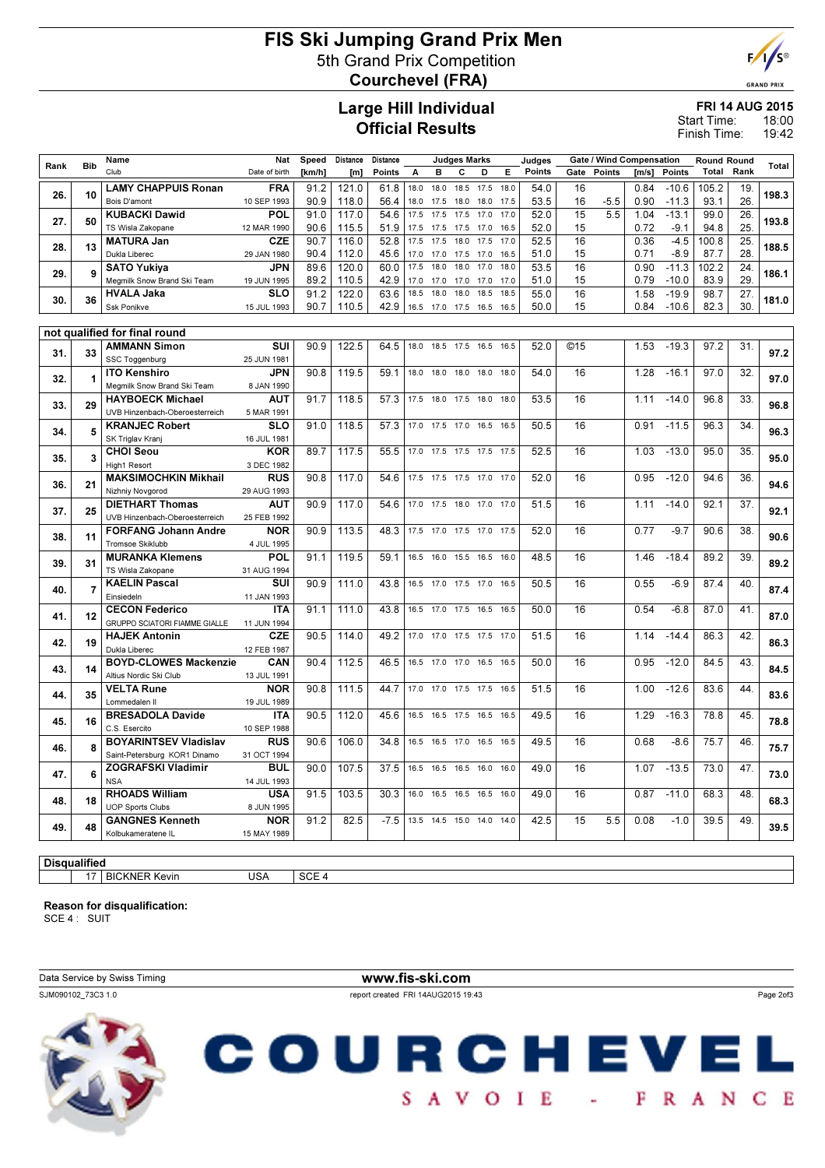## FIS Ski Jumping Grand Prix Men 5th Grand Prix Competition Courchevel (FRA)



**GRAND PRIX** 

# Large Hill Individual Official Results

## FRI 14 AUG 2015

18:00 19:42 Start Time: Finish Time:

|                     |                | Name                                         | Nat                       | Speed  | Distance | Distance |      |                          | <b>Judges Marks</b> |      |      | Judges |      | Gate / Wind Compensation |       |         | <b>Round Round</b> |      |       |
|---------------------|----------------|----------------------------------------------|---------------------------|--------|----------|----------|------|--------------------------|---------------------|------|------|--------|------|--------------------------|-------|---------|--------------------|------|-------|
| Rank                | <b>Bib</b>     | Club                                         | Date of birth             | [km/h] | [m]      | Points   | А    | B                        | с                   | D    | Е    | Points | Gate | Points                   | [m/s] | Points  | Total              | Rank | Total |
|                     |                | <b>LAMY CHAPPUIS Ronan</b>                   | <b>FRA</b>                | 91.2   | 121.0    | 61.8     | 18.0 | 18.0                     | 18.5                | 17.5 | 18.0 | 54.0   | 16   |                          | 0.84  | $-10.6$ | 105.2              | 19.  |       |
| 26.                 | 10             | Bois D'amont                                 | 10 SEP 1993               | 90.9   | 118.0    | 56.4     | 18.0 | 17.5                     | 18.0                | 18.0 | 17.5 | 53.5   | 16   | $-5.5$                   | 0.90  | $-11.3$ | 93.1               | 26.  | 198.3 |
|                     |                | <b>KUBACKI Dawid</b>                         | POL                       | 91.0   | 117.0    | 54.6     | 17.5 | 17.5                     | 17.5                | 17.0 | 17.0 | 52.0   | 15   | 5.5                      | 1.04  | $-13.1$ | 99.0               | 26.  |       |
| 27.                 | 50             | TS Wisla Zakopane                            | 12 MAR 1990               | 90.6   | 115.5    | 51.9     | 17.5 | 17.5                     | 17.5 17.0           |      | 16.5 | 52.0   | 15   |                          | 0.72  | $-9.1$  | 94.8               | 25.  | 193.8 |
| 28.                 | 13             | <b>MATURA Jan</b>                            | <b>CZE</b>                | 90.7   | 116.0    | 52.8     | 17.5 | 17.5                     | 18.0                | 17.5 | 17.0 | 52.5   | 16   |                          | 0.36  | $-4.5$  | 100.8              | 25.  | 188.5 |
|                     |                | Dukla Liberec                                | 29 JAN 1980               | 90.4   | 112.0    | 45.6     | 17.0 | 17.0                     | 17.5                | 17.0 | 16.5 | 51.0   | 15   |                          | 0.71  | $-8.9$  | 87.7               | 28.  |       |
| 29.                 | 9              | <b>SATO Yukiya</b>                           | <b>JPN</b>                | 89.6   | 120.0    | 60.0     | 17.5 | 18.0                     | 18.0                | 17.0 | 18.0 | 53.5   | 16   |                          | 0.90  | $-11.3$ | 102.2              | 24.  | 186.1 |
|                     |                | Megmilk Snow Brand Ski Team                  | 19 JUN 1995               | 89.2   | 110.5    | 42.9     | 17.0 | 17.0                     | 17.0                | 17.0 | 17.0 | 51.0   | 15   |                          | 0.79  | $-10.0$ | 83.9               | 29.  |       |
| 30.                 | 36             | <b>HVALA Jaka</b>                            | SLO                       | 91.2   | 122.0    | 63.6     | 18.5 | 18.0                     | 18.0                | 18.5 | 18.5 | 55.0   | 16   |                          | 1.58  | $-19.9$ | 98.7               | 27.  | 181.0 |
|                     |                | Ssk Ponikve                                  | 15 JUL 1993               | 90.7   | 110.5    | 42.9     | 16.5 | 17.0 17.5                |                     | 16.5 | 16.5 | 50.0   | 15   |                          | 0.84  | $-10.6$ | 82.3               | 30.  |       |
|                     |                |                                              |                           |        |          |          |      |                          |                     |      |      |        |      |                          |       |         |                    |      |       |
|                     |                | not qualified for final round                |                           |        |          |          |      |                          |                     |      |      |        |      |                          |       |         |                    |      |       |
| 31.                 | 33             | AMMANN Simon                                 | SUI                       | 90.9   | 122.5    | 64.5     | 18.0 | 18.5                     | 17.5                | 16.5 | 16.5 | 52.0   | ©15  |                          | 1.53  | $-19.3$ | 97.2               | 31.  | 97.2  |
|                     |                | SSC Toggenburg<br><b>ITO Kenshiro</b>        | 25 JUN 1981<br><b>JPN</b> | 90.8   | 119.5    | 59.1     | 18.0 | 18.0                     | 18.0 18.0           |      | 18.0 | 54.0   | 16   |                          | 1.28  | $-16.1$ | 97.0               | 32.  |       |
| 32.                 | 1              | Megmilk Snow Brand Ski Team                  | 8 JAN 1990                |        |          |          |      |                          |                     |      |      |        |      |                          |       |         |                    |      | 97.0  |
|                     |                | <b>HAYBOECK Michael</b>                      | <b>AUT</b>                | 91.7   | 118.5    | 57.3     | 17.5 | 18.0                     | 17.5                | 18.0 | 18.0 | 53.5   | 16   |                          | 1.11  | $-14.0$ | 96.8               | 33.  |       |
| 33.                 | 29             | UVB Hinzenbach-Oberoesterreich               | 5 MAR 1991                |        |          |          |      |                          |                     |      |      |        |      |                          |       |         |                    |      | 96.8  |
|                     |                | <b>KRANJEC Robert</b>                        | <b>SLO</b>                | 91.0   | 118.5    | 57.3     | 17.0 | 17.5                     | 17.0                | 16.5 | 16.5 | 50.5   | 16   |                          | 0.91  | $-11.5$ | 96.3               | 34.  |       |
| 34.                 | 5              | SK Triglav Kranj                             | 16 JUL 1981               |        |          |          |      |                          |                     |      |      |        |      |                          |       |         |                    |      | 96.3  |
|                     |                | <b>CHOI Seou</b>                             | <b>KOR</b>                | 89.7   | 117.5    | 55.5     | 17.0 | 17.5 17.5                |                     | 17.5 | 17.5 | 52.5   | 16   |                          | 1.03  | $-13.0$ | 95.0               | 35.  |       |
| 35.                 | 3              | High1 Resort                                 | 3 DEC 1982                |        |          |          |      |                          |                     |      |      |        |      |                          |       |         |                    |      | 95.0  |
|                     |                | <b>MAKSIMOCHKIN Mikhail</b>                  | <b>RUS</b>                | 90.8   | 117.0    | 54.6     |      | 17.5 17.5 17.5 17.0 17.0 |                     |      |      | 52.0   | 16   |                          | 0.95  | $-12.0$ | 94.6               | 36.  |       |
| 36.                 | 21             | Nizhniy Novgorod                             | 29 AUG 1993               |        |          |          |      |                          |                     |      |      |        |      |                          |       |         |                    |      | 94.6  |
| 37.                 | 25             | <b>DIETHART Thomas</b>                       | <b>AUT</b>                | 90.9   | 117.0    | 54.6     | 17.0 | 17.5                     | 18.0                | 17.0 | 17.0 | 51.5   | 16   |                          | 1.11  | $-14.0$ | 92.1               | 37.  | 92.1  |
|                     |                | UVB Hinzenbach-Oberoesterreich               | 25 FEB 1992               |        |          |          |      |                          |                     |      |      |        |      |                          |       |         |                    |      |       |
| 38.                 | 11             | <b>FORFANG Johann Andre</b>                  | <b>NOR</b>                | 90.9   | 113.5    | 48.3     | 17.5 | 17.0                     | 17.5                | 17.0 | 17.5 | 52.0   | 16   |                          | 0.77  | $-9.7$  | 90.6               | 38.  | 90.6  |
|                     |                | Tromsoe Skiklubb                             | 4 JUL 1995                |        |          |          |      |                          |                     |      |      |        |      |                          |       |         |                    |      |       |
| 39.                 | 31             | <b>MURANKA Klemens</b>                       | POL                       | 91.1   | 119.5    | 59.1     | 16.5 | 16.0 15.5 16.5           |                     |      | 16.0 | 48.5   | 16   |                          | 1.46  | $-18.4$ | 89.2               | 39.  | 89.2  |
|                     |                | TS Wisla Zakopane                            | 31 AUG 1994               |        |          |          |      |                          |                     |      |      |        |      |                          |       |         |                    |      |       |
| 40.                 | $\overline{7}$ | <b>KAELIN Pascal</b><br>Einsiedeln           | SUI                       | 90.9   | 111.0    | 43.8     | 16.5 | 17.0 17.5 17.0 16.5      |                     |      |      | 50.5   | 16   |                          | 0.55  | $-6.9$  | 87.4               | 40.  | 87.4  |
|                     |                | <b>CECON Federico</b>                        | 11 JAN 1993<br><b>ITA</b> | 91.1   | 111.0    | 43.8     | 16.5 | 17.0                     | 17.5                | 16.5 | 16.5 | 50.0   | 16   |                          | 0.54  | $-6.8$  | 87.0               | 41.  |       |
| 41.                 | 12             | <b>GRUPPO SCIATORI FIAMME GIALLE</b>         | 11 JUN 1994               |        |          |          |      |                          |                     |      |      |        |      |                          |       |         |                    |      | 87.0  |
|                     |                | <b>HAJEK Antonin</b>                         | <b>CZE</b>                | 90.5   | 114.0    | 49.2     | 17.0 | 17.0                     | 17.5                | 17.5 | 17.0 | 51.5   | 16   |                          | 1.14  | $-14.4$ | 86.3               | 42.  |       |
| 42.                 | 19             | Dukla Liberec                                | 12 FEB 1987               |        |          |          |      |                          |                     |      |      |        |      |                          |       |         |                    |      | 86.3  |
|                     |                | <b>BOYD-CLOWES Mackenzie</b>                 | CAN                       | 90.4   | 112.5    | 46.5     | 16.5 | 17.0 17.0 16.5           |                     |      | 16.5 | 50.0   | 16   |                          | 0.95  | $-12.0$ | 84.5               | 43.  |       |
| 43.                 | 14             | Altius Nordic Ski Club                       | 13 JUL 1991               |        |          |          |      |                          |                     |      |      |        |      |                          |       |         |                    |      | 84.5  |
|                     |                | <b>VELTA Rune</b>                            | <b>NOR</b>                | 90.8   | 111.5    | 44.7     | 17.0 | 17.0                     | 17.5                | 17.5 | 16.5 | 51.5   | 16   |                          | 1.00  | $-12.6$ | 83.6               | 44.  |       |
| 44.                 | 35             | Lommedalen II                                | 19 JUL 1989               |        |          |          |      |                          |                     |      |      |        |      |                          |       |         |                    |      | 83.6  |
| 45.                 | 16             | <b>BRESADOLA Davide</b>                      | <b>ITA</b>                | 90.5   | 112.0    | 45.6     | 16.5 | 16.5                     | 17.5                | 16.5 | 16.5 | 49.5   | 16   |                          | 1.29  | $-16.3$ | 78.8               | 45.  | 78.8  |
|                     |                | C.S. Esercito                                | 10 SEP 1988               |        |          |          |      |                          |                     |      |      |        |      |                          |       |         |                    |      |       |
| 46.                 | 8              | <b>BOYARINTSEV Vladislav</b>                 | <b>RUS</b>                | 90.6   | 106.0    | 34.8     | 16.5 | 16.5                     | 17.0                | 16.5 | 16.5 | 49.5   | 16   |                          | 0.68  | $-8.6$  | 75.7               | 46.  | 75.7  |
|                     |                | Saint-Petersburg KOR1 Dinamo                 | 31 OCT 1994               |        |          |          |      |                          |                     |      |      |        |      |                          |       |         |                    |      |       |
| 47.                 | 6              | <b>ZOGRAFSKI Vladimir</b>                    | <b>BUL</b>                | 90.0   | 107.5    | 37.5     | 16.5 | 16.5                     | 16.5 16.0           |      | 16.0 | 49.0   | 16   |                          | 1.07  | $-13.5$ | 73.0               | 47.  | 73.0  |
|                     |                | <b>NSA</b>                                   | 14 JUL 1993               |        |          |          |      |                          |                     |      |      |        |      |                          |       |         |                    |      |       |
| 48.                 | 18             | <b>RHOADS William</b>                        | <b>USA</b>                | 91.5   | 103.5    | 30.3     | 16.0 | 16.5                     | 16.5                | 16.5 | 16.0 | 49.0   | 16   |                          | 0.87  | $-11.0$ | 68.3               | 48.  | 68.3  |
|                     |                | <b>UOP Sports Clubs</b>                      | 8 JUN 1995                |        |          | $-7.5$   |      |                          |                     |      |      |        | 15   |                          |       | $-1.0$  | 39.5               | 49.  |       |
| 49.                 | 48             | <b>GANGNES Kenneth</b><br>Kolbukameratene IL | <b>NOR</b><br>15 MAY 1989 | 91.2   | 82.5     |          | 13.5 | 14.5                     | 15.0                | 14.0 | 14.0 | 42.5   |      | 5.5                      | 0.08  |         |                    |      | 39.5  |
|                     |                |                                              |                           |        |          |          |      |                          |                     |      |      |        |      |                          |       |         |                    |      |       |
|                     |                |                                              |                           |        |          |          |      |                          |                     |      |      |        |      |                          |       |         |                    |      |       |
| <b>Disqualified</b> |                |                                              |                           |        |          |          |      |                          |                     |      |      |        |      |                          |       |         |                    |      |       |

# 17 BICKNER Kevin USA SCE 4

Reason for disqualification:

SCE 4 : SUIT

Data Service by Swiss Timing **www.fis-ski.com** SJM090102\_73C3 1.0 report created FRI 14AUG2015 19:43

Page 2of3